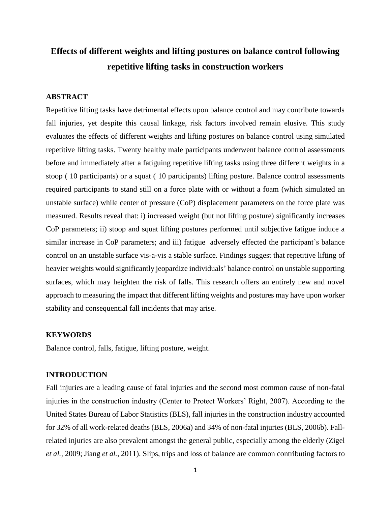# **Effects of different weights and lifting postures on balance control following repetitive lifting tasks in construction workers**

#### **ABSTRACT**

Repetitive lifting tasks have detrimental effects upon balance control and may contribute towards fall injuries, yet despite this causal linkage, risk factors involved remain elusive. This study evaluates the effects of different weights and lifting postures on balance control using simulated repetitive lifting tasks. Twenty healthy male participants underwent balance control assessments before and immediately after a fatiguing repetitive lifting tasks using three different weights in a stoop ( 10 participants) or a squat ( 10 participants) lifting posture. Balance control assessments required participants to stand still on a force plate with or without a foam (which simulated an unstable surface) while center of pressure (CoP) displacement parameters on the force plate was measured. Results reveal that: i) increased weight (but not lifting posture) significantly increases CoP parameters; ii) stoop and squat lifting postures performed until subjective fatigue induce a similar increase in CoP parameters; and iii) fatigue adversely effected the participant's balance control on an unstable surface vis-a-vis a stable surface. Findings suggest that repetitive lifting of heavier weights would significantly jeopardize individuals' balance control on unstable supporting surfaces, which may heighten the risk of falls. This research offers an entirely new and novel approach to measuring the impact that different lifting weights and postures may have upon worker stability and consequential fall incidents that may arise.

# **KEYWORDS**

Balance control, falls, fatigue, lifting posture, weight.

# **INTRODUCTION**

Fall injuries are a leading cause of fatal injuries and the second most common cause of non-fatal injuries in the construction industry (Center to Protect Workers' Right, 2007). According to the United States Bureau of Labor Statistics (BLS), fall injuries in the construction industry accounted for 32% of all work-related deaths (BLS, 2006a) and 34% of non-fatal injuries (BLS, 2006b). Fallrelated injuries are also prevalent amongst the general public, especially among the elderly (Zigel *et al.,* 2009; Jiang *et al.,* 2011). Slips, trips and loss of balance are common contributing factors to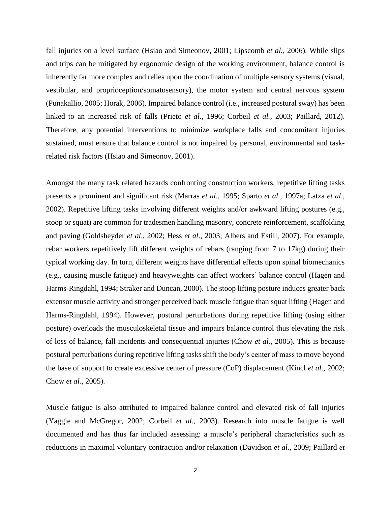fall injuries on a level surface (Hsiao and Simeonov, 2001; Lipscomb *et al.,* 2006). While slips and trips can be mitigated by ergonomic design of the working environment, balance control is inherently far more complex and relies upon the coordination of multiple sensory systems (visual, vestibular, and proprioception/somatosensory), the motor system and central nervous system (Punakallio, 2005; Horak, 2006). Impaired balance control (i.e., increased postural sway) has been linked to an increased risk of falls (Prieto *et al*., 1996; Corbeil *et al.,* 2003; Paillard, 2012). Therefore, any potential interventions to minimize workplace falls and concomitant injuries sustained, must ensure that balance control is not impaired by personal, environmental and taskrelated risk factors (Hsiao and Simeonov, 2001).

Amongst the many task related hazards confronting construction workers, repetitive lifting tasks presents a prominent and significant risk (Marras *et al*., 1995; Sparto *et al.,* 1997a; Latza *et al*., 2002). Repetitive lifting tasks involving different weights and/or awkward lifting postures (e.g., stoop or squat) are common for tradesmen handling masonry, concrete reinforcement, scaffolding and paving (Goldsheyder *et al*., 2002; Hess *et al*., 2003; Albers and Estill, 2007). For example, rebar workers repetitively lift different weights of rebars (ranging from 7 to 17kg) during their typical working day. In turn, different weights have differential effects upon spinal biomechanics (e.g., causing muscle fatigue) and heavyweights can affect workers' balance control (Hagen and Harms-Ringdahl, 1994; Straker and Duncan, 2000). The stoop lifting posture induces greater back extensor muscle activity and stronger perceived back muscle fatigue than squat lifting (Hagen and Harms-Ringdahl, 1994). However, postural perturbations during repetitive lifting (using either posture) overloads the musculoskeletal tissue and impairs balance control thus elevating the risk of loss of balance, fall incidents and consequential injuries (Chow *et al.,* 2005). This is because postural perturbations during repetitive lifting tasks shift the body's center of mass to move beyond the base of support to create excessive center of pressure (CoP) displacement (Kincl *et al.,* 2002; Chow *et al.,* 2005).

Muscle fatigue is also attributed to impaired balance control and elevated risk of fall injuries (Yaggie and McGregor, 2002; Corbeil *et al.,* 2003). Research into muscle fatigue is well documented and has thus far included assessing: a muscle's peripheral characteristics such as reductions in maximal voluntary contraction and/or relaxation (Davidson *et al.,* 2009; Paillard *et*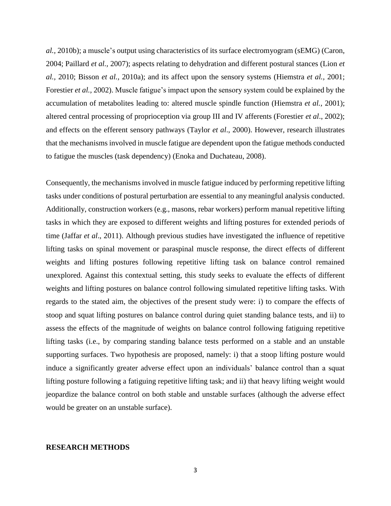*al.,* 2010b); a muscle's output using characteristics of its surface electromyogram (sEMG) (Caron, 2004; Paillard *et al.,* 2007); aspects relating to dehydration and different postural stances (Lion *et al.,* 2010; Bisson *et al.,* 2010a); and its affect upon the sensory systems (Hiemstra *et al.,* 2001; Forestier *et al.,* 2002). Muscle fatigue's impact upon the sensory system could be explained by the accumulation of metabolites leading to: altered muscle spindle function (Hiemstra *et al.,* 2001); altered central processing of proprioception via group III and IV afferents (Forestier *et al*., 2002); and effects on the efferent sensory pathways (Taylor *et al*., 2000). However, research illustrates that the mechanisms involved in muscle fatigue are dependent upon the fatigue methods conducted to fatigue the muscles (task dependency) (Enoka and Duchateau, 2008).

Consequently, the mechanisms involved in muscle fatigue induced by performing repetitive lifting tasks under conditions of postural perturbation are essential to any meaningful analysis conducted. Additionally, construction workers (e.g., masons, rebar workers) perform manual repetitive lifting tasks in which they are exposed to different weights and lifting postures for extended periods of time (Jaffar *et al*., 2011). Although previous studies have investigated the influence of repetitive lifting tasks on spinal movement or paraspinal muscle response, the direct effects of different weights and lifting postures following repetitive lifting task on balance control remained unexplored. Against this contextual setting, this study seeks to evaluate the effects of different weights and lifting postures on balance control following simulated repetitive lifting tasks. With regards to the stated aim, the objectives of the present study were: i) to compare the effects of stoop and squat lifting postures on balance control during quiet standing balance tests, and ii) to assess the effects of the magnitude of weights on balance control following fatiguing repetitive lifting tasks (i.e., by comparing standing balance tests performed on a stable and an unstable supporting surfaces. Two hypothesis are proposed, namely: i) that a stoop lifting posture would induce a significantly greater adverse effect upon an individuals' balance control than a squat lifting posture following a fatiguing repetitive lifting task; and ii) that heavy lifting weight would jeopardize the balance control on both stable and unstable surfaces (although the adverse effect would be greater on an unstable surface).

#### **RESEARCH METHODS**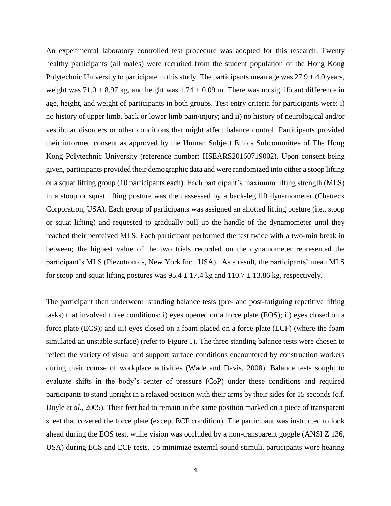An experimental laboratory controlled test procedure was adopted for this research. Twenty healthy participants (all males) were recruited from the student population of the Hong Kong Polytechnic University to participate in this study. The participants mean age was  $27.9 \pm 4.0$  years, weight was  $71.0 \pm 8.97$  kg, and height was  $1.74 \pm 0.09$  m. There was no significant difference in age, height, and weight of participants in both groups. Test entry criteria for participants were: i) no history of upper limb, back or lower limb pain/injury; and ii) no history of neurological and/or vestibular disorders or other conditions that might affect balance control. Participants provided their informed consent as approved by the Human Subject Ethics Subcommittee of The Hong Kong Polytechnic University (reference number: HSEARS20160719002). Upon consent being given, participants provided their demographic data and were randomized into either a stoop lifting or a squat lifting group (10 participants each). Each participant's maximum lifting strength (MLS) in a stoop or squat lifting posture was then assessed by a back-leg lift dynamometer (Chattecx Corporation, USA). Each group of participants was assigned an allotted lifting posture (i.e., stoop or squat lifting) and requested to gradually pull up the handle of the dynamometer until they reached their perceived MLS. Each participant performed the test twice with a two-min break in between; the highest value of the two trials recorded on the dynamometer represented the participant's MLS (Piezotronics, New York Inc., USA). As a result, the participants' mean MLS for stoop and squat lifting postures was  $95.4 \pm 17.4$  kg and  $110.7 \pm 13.86$  kg, respectively.

The participant then underwent standing balance tests (pre- and post-fatiguing repetitive lifting tasks) that involved three conditions: i) eyes opened on a force plate (EOS); ii) eyes closed on a force plate (ECS); and iii) eyes closed on a foam placed on a force plate (ECF) (where the foam simulated an unstable surface) (refer to Figure 1). The three standing balance tests were chosen to reflect the variety of visual and support surface conditions encountered by construction workers during their course of workplace activities (Wade and Davis, 2008). Balance tests sought to evaluate shifts in the body's center of pressure (CoP) under these conditions and required participants to stand upright in a relaxed position with their arms by their sides for 15 seconds (c.f. Doyle *et al.,* 2005). Their feet had to remain in the same position marked on a piece of transparent sheet that covered the force plate (except ECF condition). The participant was instructed to look ahead during the EOS test, while vision was occluded by a non-transparent goggle (ANSI Z 136, USA) during ECS and ECF tests. To minimize external sound stimuli, participants wore hearing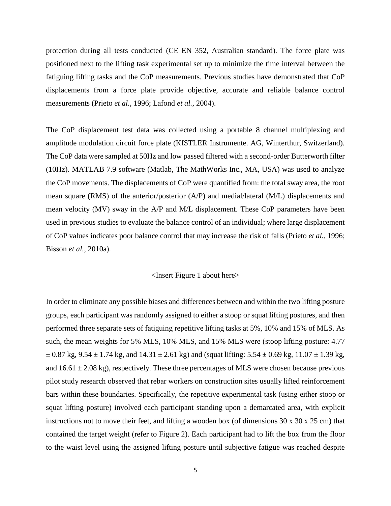protection during all tests conducted (CE EN 352, Australian standard). The force plate was positioned next to the lifting task experimental set up to minimize the time interval between the fatiguing lifting tasks and the CoP measurements. Previous studies have demonstrated that CoP displacements from a force plate provide objective, accurate and reliable balance control measurements (Prieto *et al.,* 1996; Lafond *et al.,* 2004).

The CoP displacement test data was collected using a portable 8 channel multiplexing and amplitude modulation circuit force plate (KISTLER Instrumente. AG, Winterthur, Switzerland). The CoP data were sampled at 50Hz and low passed filtered with a second-order Butterworth filter (10Hz). MATLAB 7.9 software (Matlab, The MathWorks Inc., MA, USA) was used to analyze the CoP movements. The displacements of CoP were quantified from: the total sway area, the root mean square (RMS) of the anterior/posterior (A/P) and medial/lateral (M/L) displacements and mean velocity (MV) sway in the A/P and M/L displacement. These CoP parameters have been used in previous studies to evaluate the balance control of an individual; where large displacement of CoP values indicates poor balance control that may increase the risk of falls (Prieto *et al.,* 1996; Bisson *et al.,* 2010a).

#### <Insert Figure 1 about here>

In order to eliminate any possible biases and differences between and within the two lifting posture groups, each participant was randomly assigned to either a stoop or squat lifting postures, and then performed three separate sets of fatiguing repetitive lifting tasks at 5%, 10% and 15% of MLS. As such, the mean weights for 5% MLS, 10% MLS, and 15% MLS were (stoop lifting posture: 4.77  $\pm$  0.87 kg, 9.54  $\pm$  1.74 kg, and 14.31  $\pm$  2.61 kg) and (squat lifting: 5.54  $\pm$  0.69 kg, 11.07  $\pm$  1.39 kg, and  $16.61 \pm 2.08$  kg), respectively. These three percentages of MLS were chosen because previous pilot study research observed that rebar workers on construction sites usually lifted reinforcement bars within these boundaries. Specifically, the repetitive experimental task (using either stoop or squat lifting posture) involved each participant standing upon a demarcated area, with explicit instructions not to move their feet, and lifting a wooden box (of dimensions 30 x 30 x 25 cm) that contained the target weight (refer to Figure 2). Each participant had to lift the box from the floor to the waist level using the assigned lifting posture until subjective fatigue was reached despite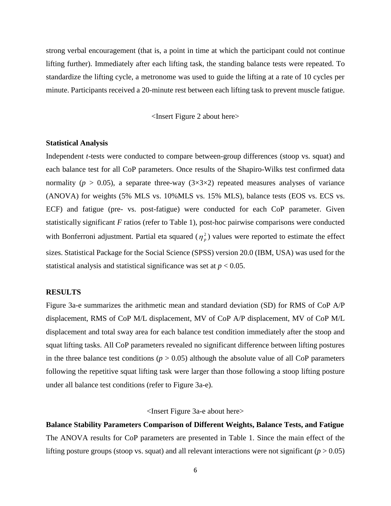strong verbal encouragement (that is, a point in time at which the participant could not continue lifting further). Immediately after each lifting task, the standing balance tests were repeated. To standardize the lifting cycle, a metronome was used to guide the lifting at a rate of 10 cycles per minute. Participants received a 20-minute rest between each lifting task to prevent muscle fatigue.

<Insert Figure 2 about here>

#### **Statistical Analysis**

Independent *t-*tests were conducted to compare between-group differences (stoop vs. squat) and each balance test for all CoP parameters. Once results of the Shapiro-Wilks test confirmed data normality ( $p > 0.05$ ), a separate three-way ( $3 \times 3 \times 2$ ) repeated measures analyses of variance (ANOVA) for weights (5% MLS vs. 10%MLS vs. 15% MLS), balance tests (EOS vs. ECS vs. ECF) and fatigue (pre- vs. post-fatigue) were conducted for each CoP parameter. Given statistically significant *F* ratios (refer to Table 1), post-hoc pairwise comparisons were conducted with Bonferroni adjustment. Partial eta squared  $(\eta_p^2)$  values were reported to estimate the effect sizes. Statistical Package for the Social Science (SPSS) version 20.0 (IBM, USA) was used for the statistical analysis and statistical significance was set at  $p < 0.05$ .

#### **RESULTS**

Figure 3a-e summarizes the arithmetic mean and standard deviation (SD) for RMS of CoP A/P displacement, RMS of CoP M/L displacement, MV of CoP A/P displacement, MV of CoP M/L displacement and total sway area for each balance test condition immediately after the stoop and squat lifting tasks. All CoP parameters revealed no significant difference between lifting postures in the three balance test conditions ( $p > 0.05$ ) although the absolute value of all CoP parameters following the repetitive squat lifting task were larger than those following a stoop lifting posture under all balance test conditions (refer to Figure 3a-e).

<Insert Figure 3a-e about here>

**Balance Stability Parameters Comparison of Different Weights, Balance Tests, and Fatigue** The ANOVA results for CoP parameters are presented in Table 1. Since the main effect of the lifting posture groups (stoop vs. squat) and all relevant interactions were not significant  $(p > 0.05)$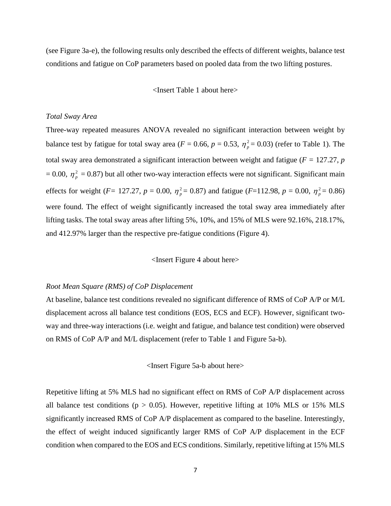(see Figure 3a-e), the following results only described the effects of different weights, balance test conditions and fatigue on CoP parameters based on pooled data from the two lifting postures.

<Insert Table 1 about here>

#### *Total Sway Area*

Three-way repeated measures ANOVA revealed no significant interaction between weight by balance test by fatigue for total sway area ( $F = 0.66$ ,  $p = 0.53$ ,  $\eta_p^2 = 0.03$ ) (refer to Table 1). The total sway area demonstrated a significant interaction between weight and fatigue ( $F = 127.27$ ,  $p$  $= 0.00$ ,  $\eta_p^2 = 0.87$ ) but all other two-way interaction effects were not significant. Significant main effects for weight (*F*= 127.27, *p* = 0.00,  $\eta_p^2 = 0.87$ ) and fatigue (*F*=112.98, *p* = 0.00,  $\eta_p^2 = 0.86$ ) were found. The effect of weight significantly increased the total sway area immediately after lifting tasks. The total sway areas after lifting 5%, 10%, and 15% of MLS were 92.16%, 218.17%, and 412.97% larger than the respective pre-fatigue conditions (Figure 4).

#### <Insert Figure 4 about here>

#### *Root Mean Square (RMS) of CoP Displacement*

At baseline, balance test conditions revealed no significant difference of RMS of CoP A/P or M/L displacement across all balance test conditions (EOS, ECS and ECF). However, significant twoway and three-way interactions (i.e. weight and fatigue, and balance test condition) were observed on RMS of CoP A/P and M/L displacement (refer to Table 1 and Figure 5a-b).

#### <Insert Figure 5a-b about here>

Repetitive lifting at 5% MLS had no significant effect on RMS of CoP A/P displacement across all balance test conditions ( $p > 0.05$ ). However, repetitive lifting at 10% MLS or 15% MLS significantly increased RMS of CoP A/P displacement as compared to the baseline. Interestingly, the effect of weight induced significantly larger RMS of CoP A/P displacement in the ECF condition when compared to the EOS and ECS conditions. Similarly, repetitive lifting at 15% MLS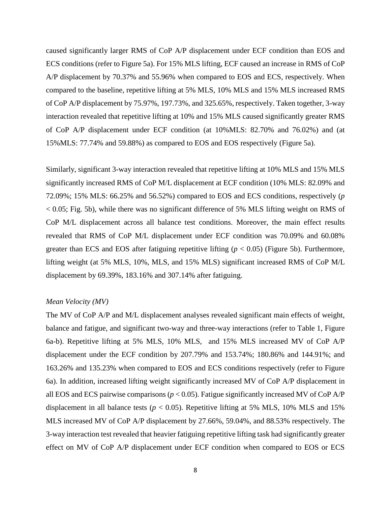caused significantly larger RMS of CoP A/P displacement under ECF condition than EOS and ECS conditions (refer to Figure 5a). For 15% MLS lifting, ECF caused an increase in RMS of CoP A/P displacement by 70.37% and 55.96% when compared to EOS and ECS, respectively. When compared to the baseline, repetitive lifting at 5% MLS, 10% MLS and 15% MLS increased RMS of CoP A/P displacement by 75.97%, 197.73%, and 325.65%, respectively. Taken together, 3-way interaction revealed that repetitive lifting at 10% and 15% MLS caused significantly greater RMS of CoP A/P displacement under ECF condition (at 10%MLS: 82.70% and 76.02%) and (at 15%MLS: 77.74% and 59.88%) as compared to EOS and EOS respectively (Figure 5a).

Similarly, significant 3-way interaction revealed that repetitive lifting at 10% MLS and 15% MLS significantly increased RMS of CoP M/L displacement at ECF condition (10% MLS: 82.09% and 72.09%; 15% MLS: 66.25% and 56.52%) compared to EOS and ECS conditions, respectively (*p* < 0.05; Fig. 5b), while there was no significant difference of 5% MLS lifting weight on RMS of CoP M/L displacement across all balance test conditions. Moreover, the main effect results revealed that RMS of CoP M/L displacement under ECF condition was 70.09% and 60.08% greater than ECS and EOS after fatiguing repetitive lifting  $(p < 0.05)$  (Figure 5b). Furthermore, lifting weight (at 5% MLS, 10%, MLS, and 15% MLS) significant increased RMS of CoP M/L displacement by 69.39%, 183.16% and 307.14% after fatiguing.

#### *Mean Velocity (MV)*

The MV of CoP A/P and M/L displacement analyses revealed significant main effects of weight, balance and fatigue, and significant two-way and three-way interactions (refer to Table 1, Figure 6a-b). Repetitive lifting at 5% MLS, 10% MLS, and 15% MLS increased MV of CoP A/P displacement under the ECF condition by 207.79% and 153.74%; 180.86% and 144.91%; and 163.26% and 135.23% when compared to EOS and ECS conditions respectively (refer to Figure 6a). In addition, increased lifting weight significantly increased MV of CoP A/P displacement in all EOS and ECS pairwise comparisons (*p* < 0.05). Fatigue significantly increased MV of CoP A/P displacement in all balance tests ( $p < 0.05$ ). Repetitive lifting at 5% MLS, 10% MLS and 15% MLS increased MV of CoP A/P displacement by 27.66%, 59.04%, and 88.53% respectively. The 3-way interaction test revealed that heavier fatiguing repetitive lifting task had significantly greater effect on MV of CoP A/P displacement under ECF condition when compared to EOS or ECS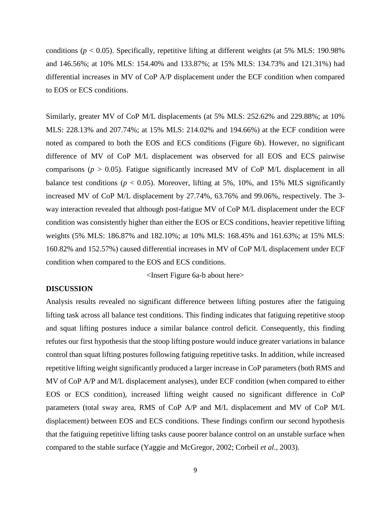conditions ( $p < 0.05$ ). Specifically, repetitive lifting at different weights (at 5% MLS: 190.98%) and 146.56%; at 10% MLS: 154.40% and 133.87%; at 15% MLS: 134.73% and 121.31%) had differential increases in MV of CoP A/P displacement under the ECF condition when compared to EOS or ECS conditions.

Similarly, greater MV of CoP M/L displacements (at 5% MLS: 252.62% and 229.88%; at 10% MLS: 228.13% and 207.74%; at 15% MLS: 214.02% and 194.66%) at the ECF condition were noted as compared to both the EOS and ECS conditions (Figure 6b). However, no significant difference of MV of CoP M/L displacement was observed for all EOS and ECS pairwise comparisons (*p* > 0.05). Fatigue significantly increased MV of CoP M/L displacement in all balance test conditions ( $p < 0.05$ ). Moreover, lifting at 5%, 10%, and 15% MLS significantly increased MV of CoP M/L displacement by 27.74%, 63.76% and 99.06%, respectively. The 3 way interaction revealed that although post-fatigue MV of CoP M/L displacement under the ECF condition was consistently higher than either the EOS or ECS conditions, heavier repetitive lifting weights (5% MLS: 186.87% and 182.10%; at 10% MLS: 168.45% and 161.63%; at 15% MLS: 160.82% and 152.57%) caused differential increases in MV of CoP M/L displacement under ECF condition when compared to the EOS and ECS conditions.

<Insert Figure 6a-b about here>

#### **DISCUSSION**

Analysis results revealed no significant difference between lifting postures after the fatiguing lifting task across all balance test conditions. This finding indicates that fatiguing repetitive stoop and squat lifting postures induce a similar balance control deficit. Consequently, this finding refutes our first hypothesis that the stoop lifting posture would induce greater variations in balance control than squat lifting postures following fatiguing repetitive tasks. In addition, while increased repetitive lifting weight significantly produced a larger increase in CoP parameters (both RMS and MV of CoP A/P and M/L displacement analyses), under ECF condition (when compared to either EOS or ECS condition), increased lifting weight caused no significant difference in CoP parameters (total sway area, RMS of CoP A/P and M/L displacement and MV of CoP M/L displacement) between EOS and ECS conditions. These findings confirm our second hypothesis that the fatiguing repetitive lifting tasks cause poorer balance control on an unstable surface when compared to the stable surface (Yaggie and McGregor, 2002; Corbeil *et al.,* 2003).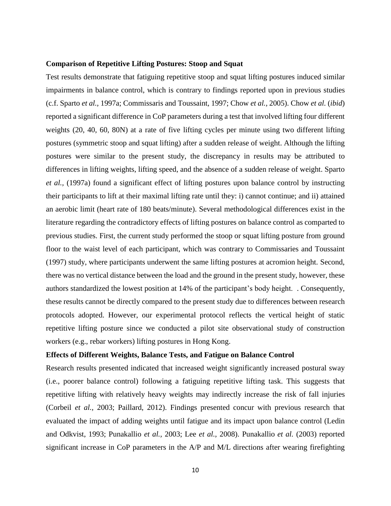#### **Comparison of Repetitive Lifting Postures: Stoop and Squat**

Test results demonstrate that fatiguing repetitive stoop and squat lifting postures induced similar impairments in balance control, which is contrary to findings reported upon in previous studies (c.f. Sparto *et al.,* 1997a; Commissaris and Toussaint, 1997; Chow *et al.,* 2005). Chow *et al.* (*ibid*) reported a significant difference in CoP parameters during a test that involved lifting four different weights (20, 40, 60, 80N) at a rate of five lifting cycles per minute using two different lifting postures (symmetric stoop and squat lifting) after a sudden release of weight. Although the lifting postures were similar to the present study, the discrepancy in results may be attributed to differences in lifting weights, lifting speed, and the absence of a sudden release of weight. Sparto *et al.,* (1997a) found a significant effect of lifting postures upon balance control by instructing their participants to lift at their maximal lifting rate until they: i) cannot continue; and ii) attained an aerobic limit (heart rate of 180 beats/minute). Several methodological differences exist in the literature regarding the contradictory effects of lifting postures on balance control as comparted to previous studies. First, the current study performed the stoop or squat lifting posture from ground floor to the waist level of each participant, which was contrary to Commissaries and Toussaint (1997) study, where participants underwent the same lifting postures at acromion height. Second, there was no vertical distance between the load and the ground in the present study, however, these authors standardized the lowest position at 14% of the participant's body height. . Consequently, these results cannot be directly compared to the present study due to differences between research protocols adopted. However, our experimental protocol reflects the vertical height of static repetitive lifting posture since we conducted a pilot site observational study of construction workers (e.g., rebar workers) lifting postures in Hong Kong.

### **Effects of Different Weights, Balance Tests, and Fatigue on Balance Control**

Research results presented indicated that increased weight significantly increased postural sway (i.e., poorer balance control) following a fatiguing repetitive lifting task. This suggests that repetitive lifting with relatively heavy weights may indirectly increase the risk of fall injuries (Corbeil *et al.,* 2003; Paillard, 2012). Findings presented concur with previous research that evaluated the impact of adding weights until fatigue and its impact upon balance control (Ledin and Odkvist, 1993; Punakallio *et al.,* 2003; Lee *et al.,* 2008). Punakallio *et al.* (2003) reported significant increase in CoP parameters in the A/P and M/L directions after wearing firefighting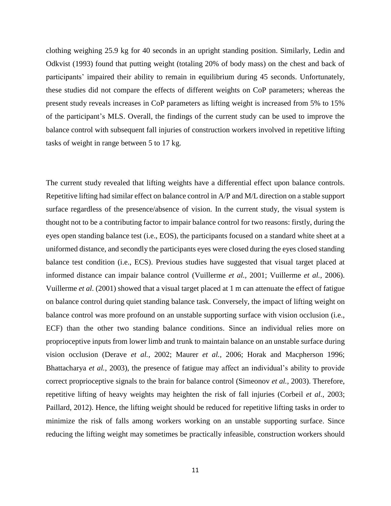clothing weighing 25.9 kg for 40 seconds in an upright standing position. Similarly, Ledin and Odkvist (1993) found that putting weight (totaling 20% of body mass) on the chest and back of participants' impaired their ability to remain in equilibrium during 45 seconds. Unfortunately, these studies did not compare the effects of different weights on CoP parameters; whereas the present study reveals increases in CoP parameters as lifting weight is increased from 5% to 15% of the participant's MLS. Overall, the findings of the current study can be used to improve the balance control with subsequent fall injuries of construction workers involved in repetitive lifting tasks of weight in range between 5 to 17 kg.

The current study revealed that lifting weights have a differential effect upon balance controls. Repetitive lifting had similar effect on balance control in A/P and M/L direction on a stable support surface regardless of the presence/absence of vision. In the current study, the visual system is thought not to be a contributing factor to impair balance control for two reasons: firstly, during the eyes open standing balance test (i.e., EOS), the participants focused on a standard white sheet at a uniformed distance, and secondly the participants eyes were closed during the eyes closed standing balance test condition (i.e., ECS). Previous studies have suggested that visual target placed at informed distance can impair balance control (Vuillerme *et al.,* 2001; Vuillerme *et al.,* 2006). Vuillerme *et al*. (2001) showed that a visual target placed at 1 m can attenuate the effect of fatigue on balance control during quiet standing balance task. Conversely, the impact of lifting weight on balance control was more profound on an unstable supporting surface with vision occlusion (i.e., ECF) than the other two standing balance conditions. Since an individual relies more on proprioceptive inputs from lower limb and trunk to maintain balance on an unstable surface during vision occlusion (Derave *et al.,* 2002; Maurer *et al.,* 2006; Horak and Macpherson 1996; Bhattacharya *et al.,* 2003), the presence of fatigue may affect an individual's ability to provide correct proprioceptive signals to the brain for balance control (Simeonov *et al.,* 2003). Therefore, repetitive lifting of heavy weights may heighten the risk of fall injuries (Corbeil *et al.,* 2003; Paillard, 2012). Hence, the lifting weight should be reduced for repetitive lifting tasks in order to minimize the risk of falls among workers working on an unstable supporting surface. Since reducing the lifting weight may sometimes be practically infeasible, construction workers should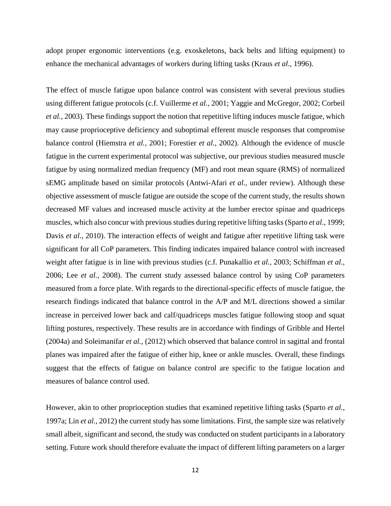adopt proper ergonomic interventions (e.g. exoskeletons, back belts and lifting equipment) to enhance the mechanical advantages of workers during lifting tasks (Kraus *et al.,* 1996).

The effect of muscle fatigue upon balance control was consistent with several previous studies using different fatigue protocols (c.f. Vuillerme *et al.,* 2001; Yaggie and McGregor, 2002; Corbeil *et al.,* 2003). These findings support the notion that repetitive lifting induces muscle fatigue, which may cause proprioceptive deficiency and suboptimal efferent muscle responses that compromise balance control (Hiemstra *et al.,* 2001; Forestier *et al.,* 2002). Although the evidence of muscle fatigue in the current experimental protocol was subjective, our previous studies measured muscle fatigue by using normalized median frequency (MF) and root mean square (RMS) of normalized sEMG amplitude based on similar protocols (Antwi-Afari *et al.,* under review). Although these objective assessment of muscle fatigue are outside the scope of the current study, the results shown decreased MF values and increased muscle activity at the lumber erector spinae and quadriceps muscles, which also concur with previous studies during repetitive lifting tasks (Sparto *et al*., 1999; Davis *et al.*, 2010). The interaction effects of weight and fatigue after repetitive lifting task were significant for all CoP parameters. This finding indicates impaired balance control with increased weight after fatigue is in line with previous studies (c.f. Punakallio *et al.,* 2003; Schiffman *et al.,* 2006; Lee *et al.,* 2008). The current study assessed balance control by using CoP parameters measured from a force plate. With regards to the directional-specific effects of muscle fatigue, the research findings indicated that balance control in the A/P and M/L directions showed a similar increase in perceived lower back and calf/quadriceps muscles fatigue following stoop and squat lifting postures, respectively. These results are in accordance with findings of Gribble and Hertel (2004a) and Soleimanifar *et al.,* (2012) which observed that balance control in sagittal and frontal planes was impaired after the fatigue of either hip, knee or ankle muscles. Overall, these findings suggest that the effects of fatigue on balance control are specific to the fatigue location and measures of balance control used.

However, akin to other proprioception studies that examined repetitive lifting tasks (Sparto *et al.,* 1997a; Lin *et al.,* 2012) the current study has some limitations. First, the sample size was relatively small albeit, significant and second, the study was conducted on student participants in a laboratory setting. Future work should therefore evaluate the impact of different lifting parameters on a larger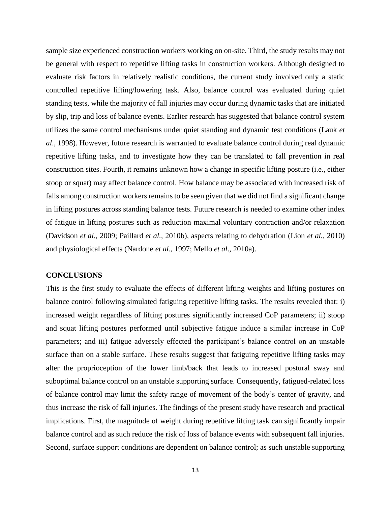sample size experienced construction workers working on on-site. Third, the study results may not be general with respect to repetitive lifting tasks in construction workers. Although designed to evaluate risk factors in relatively realistic conditions, the current study involved only a static controlled repetitive lifting/lowering task. Also, balance control was evaluated during quiet standing tests, while the majority of fall injuries may occur during dynamic tasks that are initiated by slip, trip and loss of balance events. Earlier research has suggested that balance control system utilizes the same control mechanisms under quiet standing and dynamic test conditions (Lauk *et al*., 1998). However, future research is warranted to evaluate balance control during real dynamic repetitive lifting tasks, and to investigate how they can be translated to fall prevention in real construction sites. Fourth, it remains unknown how a change in specific lifting posture (i.e., either stoop or squat) may affect balance control. How balance may be associated with increased risk of falls among construction workers remains to be seen given that we did not find a significant change in lifting postures across standing balance tests. Future research is needed to examine other index of fatigue in lifting postures such as reduction maximal voluntary contraction and/or relaxation (Davidson *et al.,* 2009; Paillard *et al.,* 2010b), aspects relating to dehydration (Lion *et al.,* 2010) and physiological effects (Nardone *et al*., 1997; Mello *et al*., 2010a).

#### **CONCLUSIONS**

This is the first study to evaluate the effects of different lifting weights and lifting postures on balance control following simulated fatiguing repetitive lifting tasks. The results revealed that: i) increased weight regardless of lifting postures significantly increased CoP parameters; ii) stoop and squat lifting postures performed until subjective fatigue induce a similar increase in CoP parameters; and iii) fatigue adversely effected the participant's balance control on an unstable surface than on a stable surface. These results suggest that fatiguing repetitive lifting tasks may alter the proprioception of the lower limb/back that leads to increased postural sway and suboptimal balance control on an unstable supporting surface. Consequently, fatigued-related loss of balance control may limit the safety range of movement of the body's center of gravity, and thus increase the risk of fall injuries. The findings of the present study have research and practical implications. First, the magnitude of weight during repetitive lifting task can significantly impair balance control and as such reduce the risk of loss of balance events with subsequent fall injuries. Second, surface support conditions are dependent on balance control; as such unstable supporting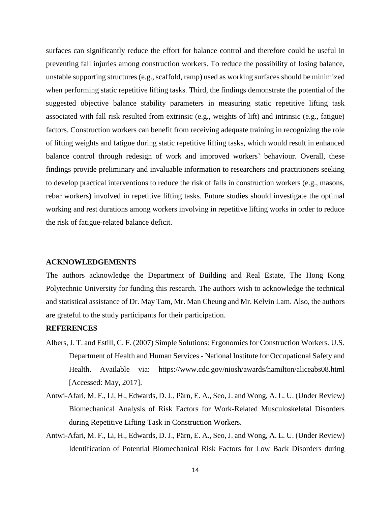surfaces can significantly reduce the effort for balance control and therefore could be useful in preventing fall injuries among construction workers. To reduce the possibility of losing balance, unstable supporting structures (e.g., scaffold, ramp) used as working surfaces should be minimized when performing static repetitive lifting tasks. Third, the findings demonstrate the potential of the suggested objective balance stability parameters in measuring static repetitive lifting task associated with fall risk resulted from extrinsic (e.g., weights of lift) and intrinsic (e.g., fatigue) factors. Construction workers can benefit from receiving adequate training in recognizing the role of lifting weights and fatigue during static repetitive lifting tasks, which would result in enhanced balance control through redesign of work and improved workers' behaviour. Overall, these findings provide preliminary and invaluable information to researchers and practitioners seeking to develop practical interventions to reduce the risk of falls in construction workers (e.g., masons, rebar workers) involved in repetitive lifting tasks. Future studies should investigate the optimal working and rest durations among workers involving in repetitive lifting works in order to reduce the risk of fatigue-related balance deficit.

#### **ACKNOWLEDGEMENTS**

The authors acknowledge the Department of Building and Real Estate, The Hong Kong Polytechnic University for funding this research. The authors wish to acknowledge the technical and statistical assistance of Dr. May Tam, Mr. Man Cheung and Mr. Kelvin Lam. Also, the authors are grateful to the study participants for their participation.

# **REFERENCES**

- Albers, J. T. and Estill, C. F. (2007) Simple Solutions: Ergonomics for Construction Workers. U.S. Department of Health and Human Services - National Institute for Occupational Safety and Health. Available via: https://www.cdc.gov/niosh/awards/hamilton/aliceabs08.html [Accessed: May, 2017].
- Antwi-Afari, M. F., Li, H., Edwards, D. J., Pärn, E. A., Seo, J. and Wong, A. L. U. (Under Review) Biomechanical Analysis of Risk Factors for Work-Related Musculoskeletal Disorders during Repetitive Lifting Task in Construction Workers.
- Antwi-Afari, M. F., Li, H., Edwards, D. J., Pärn, E. A., Seo, J. and Wong, A. L. U. (Under Review) Identification of Potential Biomechanical Risk Factors for Low Back Disorders during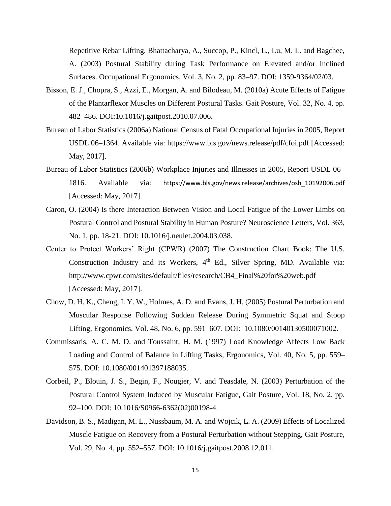Repetitive Rebar Lifting. Bhattacharya, A., Succop, P., Kincl, L., Lu, M. L. and Bagchee, A. (2003) Postural Stability during Task Performance on Elevated and/or Inclined Surfaces. Occupational Ergonomics, Vol. 3, No. 2, pp. 83–97. DOI: 1359-9364/02/03.

- Bisson, E. J., Chopra, S., Azzi, E., Morgan, A. and Bilodeau, M. (2010a) Acute Effects of Fatigue of the Plantarflexor Muscles on Different Postural Tasks. Gait Posture, Vol. 32, No. 4, pp. 482–486. DOI:10.1016/j.gaitpost.2010.07.006.
- Bureau of Labor Statistics (2006a) National Census of Fatal Occupational Injuries in 2005, Report USDL 06–1364. Available via: https://www.bls.gov/news.release/pdf/cfoi.pdf [Accessed: May, 2017].
- Bureau of Labor Statistics (2006b) Workplace Injuries and Illnesses in 2005, Report USDL 06– 1816. Available via: [https://www.bls.gov/news.release/archives/osh\\_10192006.pdf](https://www.bls.gov/news.release/archives/osh_10192006.pdf) [Accessed: May, 2017].
- Caron, O. (2004) Is there Interaction Between Vision and Local Fatigue of the Lower Limbs on Postural Control and Postural Stability in Human Posture? Neuroscience Letters, Vol. 363, No. 1, pp. 18-21. DOI: [10.1016/j.neulet.2004.03.038.](https://doi.org/10.1016/j.neulet.2004.03.038)
- Center to Protect Workers' Right (CPWR) (2007) The Construction Chart Book: The U.S. Construction Industry and its Workers, 4<sup>th</sup> Ed., Silver Spring, MD. Available via: http://www.cpwr.com/sites/default/files/research/CB4\_Final%20for%20web.pdf [Accessed: May, 2017].
- Chow, D. H. K., Cheng, I. Y. W., Holmes, A. D. and Evans, J. H. (2005) Postural Perturbation and Muscular Response Following Sudden Release During Symmetric Squat and Stoop Lifting, Ergonomics. Vol. 48, No. 6, pp. 591–607. DOI: [10.1080/00140130500071002.](http://dx.doi.org/10.1080/00140130500071002)
- Commissaris, A. C. M. D. and Toussaint, H. M. (1997) Load Knowledge Affects Low Back Loading and Control of Balance in Lifting Tasks, Ergonomics, Vol. 40, No. 5, pp. 559– 575. DOI: 10.1080/001401397188035.
- Corbeil, P., Blouin, J. S., Begin, F., Nougier, V. and Teasdale, N. (2003) Perturbation of the Postural Control System Induced by Muscular Fatigue, Gait Posture, Vol. 18, No. 2, pp. 92–100. DOI: [10.1016/S0966-6362\(02\)00198-4](https://doi.org/10.1016/S0966-6362(02)00198-4).
- Davidson, B. S., Madigan, M. L., Nussbaum, M. A. and Wojcik, L. A. (2009) Effects of Localized Muscle Fatigue on Recovery from a Postural Perturbation without Stepping, Gait Posture, Vol. 29, No. 4, pp. 552–557. DOI: [10.1016/j.gaitpost.2008.12.011](https://doi.org/10.1016/j.gaitpost.2008.12.011).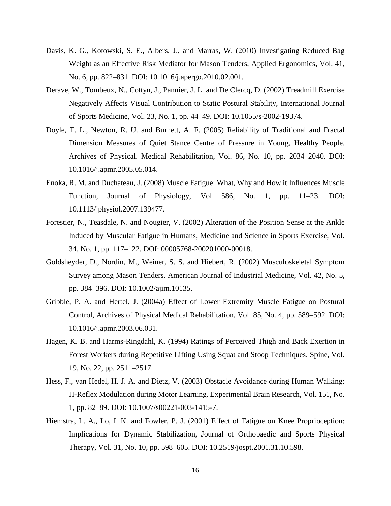- Davis, K. G., Kotowski, S. E., Albers, J., and Marras, W. (2010) Investigating Reduced Bag Weight as an Effective Risk Mediator for Mason Tenders, Applied Ergonomics, Vol. 41, No. 6, pp. 822–831. DOI: 10.1016/j.apergo.2010.02.001.
- Derave, W., Tombeux, N., Cottyn, J., Pannier, J. L. and De Clercq, D. (2002) Treadmill Exercise Negatively Affects Visual Contribution to Static Postural Stability, International Journal of Sports Medicine, Vol. 23, No. 1, pp. 44–49. DOI: 10.1055/s-2002-19374.
- Doyle, T. L., Newton, R. U. and Burnett, A. F. (2005) Reliability of Traditional and Fractal Dimension Measures of Quiet Stance Centre of Pressure in Young, Healthy People. Archives of Physical. Medical Rehabilitation, Vol. 86, No. 10, pp. 2034–2040. DOI: [10.1016/j.apmr.2005.05.014.](https://doi.org/10.1016/j.apmr.2005.05.014)
- Enoka, R. M. and Duchateau, J. (2008) Muscle Fatigue: What, Why and How it Influences Muscle Function, Journal of Physiology, Vol 586, No. 1, pp. 11–23. DOI: [10.1113/jphysiol.2007.139477.](https://dx-doi-org.ezproxy.lb.polyu.edu.hk/10.1113%2Fjphysiol.2007.139477)
- Forestier, N., Teasdale, N. and Nougier, V. (2002) Alteration of the Position Sense at the Ankle Induced by Muscular Fatigue in Humans, Medicine and Science in Sports Exercise, Vol. 34, No. 1, pp. 117–122. DOI: 00005768-200201000-00018.
- Goldsheyder, D., Nordin, M., Weiner, S. S. and Hiebert, R. (2002) Musculoskeletal Symptom Survey among Mason Tenders. American Journal of Industrial Medicine, Vol. 42, No. 5, pp. 384–396. DOI: 10.1002/ajim.10135.
- Gribble, P. A. and Hertel, J. (2004a) Effect of Lower Extremity Muscle Fatigue on Postural Control, Archives of Physical Medical Rehabilitation, Vol. 85, No. 4, pp. 589–592. DOI: [10.1016/j.apmr.2003.06.031.](https://doi.org/10.1016/j.apmr.2003.06.031)
- Hagen, K. B. and Harms-Ringdahl, K. (1994) Ratings of Perceived Thigh and Back Exertion in Forest Workers during Repetitive Lifting Using Squat and Stoop Techniques. Spine, Vol. 19, No. 22, pp. 2511–2517.
- Hess, F., van Hedel, H. J. A. and Dietz, V. (2003) Obstacle Avoidance during Human Walking: H-Reflex Modulation during Motor Learning. Experimental Brain Research, Vol. 151, No. 1, pp. 82–89. DOI: 10.1007/s00221-003-1415-7.
- Hiemstra, L. A., Lo, I. K. and Fowler, P. J. (2001) Effect of Fatigue on Knee Proprioception: Implications for Dynamic Stabilization, Journal of Orthopaedic and Sports Physical Therapy, Vol. 31, No. 10, pp. 598–605. DOI: 10.2519/jospt.2001.31.10.598.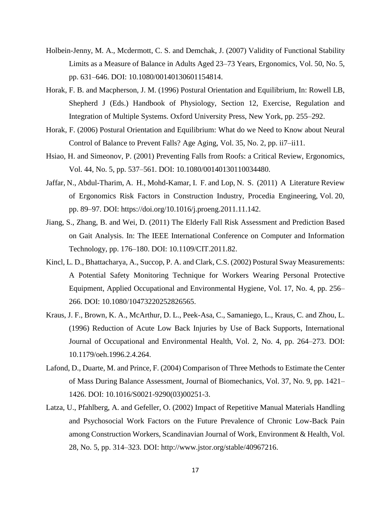- Holbein-Jenny, M. A., Mcdermott, C. S. and Demchak, J. (2007) Validity of Functional Stability Limits as a Measure of Balance in Adults Aged 23–73 Years, Ergonomics, Vol. 50, No. 5, pp. 631–646. DOI: [10.1080/00140130601154814.](http://dx.doi.org/10.1080/00140130601154814)
- Horak, F. B. and Macpherson, J. M. (1996) Postural Orientation and Equilibrium, In: Rowell LB, Shepherd J (Eds.) Handbook of Physiology, Section 12, Exercise, Regulation and Integration of Multiple Systems. Oxford University Press, New York, pp. 255–292.
- Horak, F. (2006) Postural Orientation and Equilibrium: What do we Need to Know about Neural Control of Balance to Prevent Falls? Age Aging, Vol. 35, No. 2, pp. ii7–ii11.
- Hsiao, H. and Simeonov, P. (2001) Preventing Falls from Roofs: a Critical Review, Ergonomics, Vol. 44, No. 5, pp. 537–561. DOI: 10.1080/00140130110034480.
- Jaffar, N., Abdul-Tharim, A. H., Mohd-Kamar, I. F. and Lop, N. S. (2011) A Literature Review of Ergonomics Risk Factors in Construction Industry, Procedia Engineering, Vol. 20, pp. 89–97. DOI: https://doi.org/10.1016/j.proeng.2011.11.142.
- Jiang, S., Zhang, B. and Wei, D. (2011) The Elderly Fall Risk Assessment and Prediction Based on Gait Analysis. In: The IEEE International Conference on Computer and Information Technology, pp. 176–180. DOI: [10.1109/CIT.2011.82.](https://doi.org/10.1109/CIT.2011.82)
- Kincl, L. D., Bhattacharya, A., Succop, P. A. and Clark, C.S. (2002) Postural Sway Measurements: A Potential Safety Monitoring Technique for Workers Wearing Personal Protective Equipment, Applied Occupational and Environmental Hygiene, Vol. 17, No. 4, pp. 256– 266. DOI: 10.1080/10473220252826565.
- Kraus, J. F., Brown, K. A., McArthur, D. L., Peek-Asa, C., Samaniego, L., Kraus, C. and Zhou, L. (1996) Reduction of Acute Low Back Injuries by Use of Back Supports, International Journal of Occupational and Environmental Health, Vol. 2, No. 4, pp. 264–273. DOI: [10.1179/oeh.1996.2.4.264.](http://dx.doi.org/10.1179/oeh.1996.2.4.264)
- Lafond, D., Duarte, M. and Prince, F. (2004) Comparison of Three Methods to Estimate the Center of Mass During Balance Assessment, Journal of Biomechanics, Vol. 37, No. 9, pp. 1421– 1426. DOI: [10.1016/S0021-9290\(03\)00251-3.](https://doi.org/10.1016/S0021-9290(03)00251-3)
- Latza, U., Pfahlberg, A. and Gefeller, O. (2002) Impact of Repetitive Manual Materials Handling and Psychosocial Work Factors on the Future Prevalence of Chronic Low-Back Pain among Construction Workers, Scandinavian Journal of Work, Environment & Health, Vol. 28, No. 5, pp. 314–323. DOI: http://www.jstor.org/stable/40967216.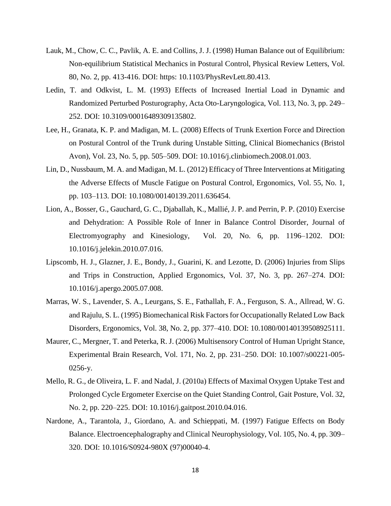- Lauk, M., Chow, C. C., Pavlik, A. E. and Collins, J. J. (1998) Human Balance out of Equilibrium: Non-equilibrium Statistical Mechanics in Postural Control, Physical Review Letters, Vol. 80, No. 2, pp. 413-416. DOI: https: 10.1103/PhysRevLett.80.413.
- Ledin, T. and Odkvist, L. M. (1993) Effects of Increased Inertial Load in Dynamic and Randomized Perturbed Posturography, Acta Oto-Laryngologica, Vol. 113, No. 3, pp. 249– 252. DOI: [10.3109/00016489309135802.](http://dx.doi.org/10.3109/00016489309135802)
- Lee, H., Granata, K. P. and Madigan, M. L. (2008) Effects of Trunk Exertion Force and Direction on Postural Control of the Trunk during Unstable Sitting, Clinical Biomechanics (Bristol Avon), Vol. 23, No. 5, pp. 505–509. DOI: [10.1016/j.clinbiomech.2008.01.003.](https://doi.org/10.1016/j.clinbiomech.2008.01.003)
- Lin, D., Nussbaum, M. A. and Madigan, M. L. (2012) Efficacy of Three Interventions at Mitigating the Adverse Effects of Muscle Fatigue on Postural Control, Ergonomics, Vol. 55, No. 1, pp. 103–113. DOI: [10.1080/00140139.2011.636454.](http://dx.doi.org/10.1080/00140139.2011.636454)
- Lion, A., Bosser, G., Gauchard, G. C., Djaballah, K., Mallié, J. P. and Perrin, P. P. (2010) Exercise and Dehydration: A Possible Role of Inner in Balance Control Disorder, Journal of Electromyography and Kinesiology, Vol. 20, No. 6, pp. 1196–1202. DOI: [10.1016/j.jelekin.2010.07.016.](https://doi.org/10.1016/j.jelekin.2010.07.016)
- Lipscomb, H. J., Glazner, J. E., Bondy, J., Guarini, K. and Lezotte, D. (2006) Injuries from Slips and Trips in Construction, Applied Ergonomics, Vol. 37, No. 3, pp. 267–274. DOI: [10.1016/j.apergo.2005.07.008.](https://doi.org/10.1016/j.apergo.2005.07.008)
- Marras, W. S., Lavender, S. A., Leurgans, S. E., Fathallah, F. A., Ferguson, S. A., Allread, W. G. and Rajulu, S. L. (1995) Biomechanical Risk Factors for Occupationally Related Low Back Disorders, Ergonomics, Vol. 38, No. 2, pp. 377–410. DOI: 10.1080/00140139508925111.
- Maurer, C., Mergner, T. and Peterka, R. J. (2006) Multisensory Control of Human Upright Stance, Experimental Brain Research, Vol. 171, No. 2, pp. 231–250. DOI: 10.1007/s00221-005- 0256-y.
- Mello, R. G., de Oliveira, L. F. and Nadal, J. (2010a) Effects of Maximal Oxygen Uptake Test and Prolonged Cycle Ergometer Exercise on the Quiet Standing Control, Gait Posture, Vol. 32, No. 2, pp. 220–225. DOI: [10.1016/j.gaitpost.2010.04.016.](https://doi.org/10.1016/j.gaitpost.2010.04.016)
- Nardone, A., Tarantola, J., Giordano, A. and Schieppati, M. (1997) Fatigue Effects on Body Balance. Electroencephalography and Clinical Neurophysiology, Vol. 105, No. 4, pp. 309– 320. DOI: [10.1016/S0924-980X \(97\)00040-4.](https://doi.org/10.1016/S0924-980X(97)00040-4)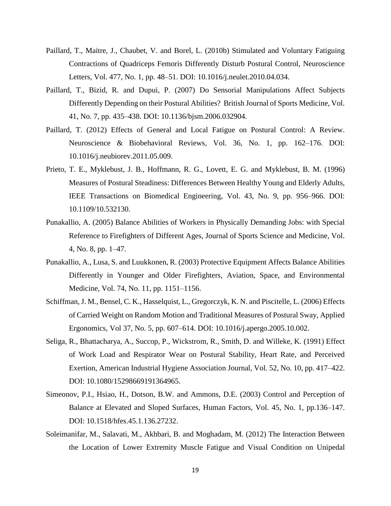- Paillard, T., Maitre, J., Chaubet, V. and Borel, L. (2010b) Stimulated and Voluntary Fatiguing Contractions of Quadriceps Femoris Differently Disturb Postural Control, Neuroscience Letters, Vol. 477, No. 1, pp. 48–51. DOI: [10.1016/j.neulet.2010.04.034.](https://doi.org/10.1016/j.neulet.2010.04.034)
- Paillard, T., Bizid, R. and Dupui, P. (2007) Do Sensorial Manipulations Affect Subjects Differently Depending on their Postural Abilities? British Journal of Sports Medicine, Vol. 41, No. 7, pp. 435–438. DOI: [10.1136/bjsm.2006.032904.](http://dx.doi.org/10.1136/bjsm.2006.032904)
- Paillard, T. (2012) Effects of General and Local Fatigue on Postural Control: A Review. Neuroscience & Biobehavioral Reviews, Vol. 36, No. 1, pp. 162–176. DOI: [10.1016/j.neubiorev.2011.05.009.](https://doi.org/10.1016/j.neubiorev.2011.05.009)
- Prieto, T. E., Myklebust, J. B., Hoffmann, R. G., Lovett, E. G. and Myklebust, B. M. (1996) Measures of Postural Steadiness: Differences Between Healthy Young and Elderly Adults, IEEE Transactions on Biomedical Engineering, Vol. 43, No. 9, pp. 956–966. DOI: [10.1109/10.532130.](https://doi.org/10.1109/10.532130)
- Punakallio, A. (2005) Balance Abilities of Workers in Physically Demanding Jobs: with Special Reference to Firefighters of Different Ages, Journal of Sports Science and Medicine, Vol. 4, No. 8, pp. 1–47.
- Punakallio, A., Lusa, S. and Luukkonen, R. (2003) Protective Equipment Affects Balance Abilities Differently in Younger and Older Firefighters, Aviation, Space, and Environmental Medicine, Vol. 74, No. 11, pp. 1151–1156.
- Schiffman, J. M., Bensel, C. K., Hasselquist, L., Gregorczyk, K. N. and Piscitelle, L. (2006) Effects of Carried Weight on Random Motion and Traditional Measures of Postural Sway, Applied Ergonomics, Vol 37, No. 5, pp. 607–614. DOI: [10.1016/j.apergo.2005.10.002.](https://doi.org/10.1016/j.apergo.2005.10.002)
- Seliga, R., Bhattacharya, A., Succop, P., Wickstrom, R., Smith, D. and Willeke, K. (1991) Effect of Work Load and Respirator Wear on Postural Stability, Heart Rate, and Perceived Exertion, American Industrial Hygiene Association Journal, Vol. 52, No. 10, pp. 417–422. DOI: [10.1080/15298669191364965.](http://dx.doi.org/10.1080/15298669191364965)
- Simeonov, P.I., Hsiao, H., Dotson, B.W. and Ammons, D.E. (2003) Control and Perception of Balance at Elevated and Sloped Surfaces, Human Factors, Vol. 45, No. 1, pp.136–147. DOI: [10.1518/hfes.45.1.136.27232.](https://doi.org/10.1518/hfes.45.1.136.27232)
- Soleimanifar, M., Salavati, M., Akhbari, B. and Moghadam, M. (2012) The Interaction Between the Location of Lower Extremity Muscle Fatigue and Visual Condition on Unipedal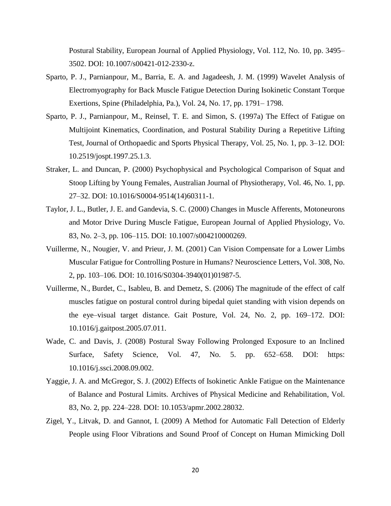Postural Stability, European Journal of Applied Physiology, Vol. 112, No. 10, pp. 3495– 3502. DOI: [10.1007/s00421-012-2330-z.](http://dx.doi.org/10.1007/s00421-012-2330-z)

- Sparto, P. J., Parnianpour, M., Barria, E. A. and Jagadeesh, J. M. (1999) Wavelet Analysis of Electromyography for Back Muscle Fatigue Detection During Isokinetic Constant Torque Exertions, Spine (Philadelphia, Pa.), Vol. 24, No. 17, pp. 1791– 1798.
- Sparto, P. J., Parnianpour, M., Reinsel, T. E. and Simon, S. (1997a) The Effect of Fatigue on Multijoint Kinematics, Coordination, and Postural Stability During a Repetitive Lifting Test, Journal of Orthopaedic and Sports Physical Therapy, Vol. 25, No. 1, pp. 3–12. DOI: 10.2519/jospt.1997.25.1.3.
- Straker, L. and Duncan, P. (2000) Psychophysical and Psychological Comparison of Squat and Stoop Lifting by Young Females, Australian Journal of Physiotherapy, Vol. 46, No. 1, pp. 27–32. DOI: [10.1016/S0004-9514\(14\)60311-1.](https://doi.org/10.1016/S0004-9514(14)60311-1)
- Taylor, J. L., Butler, J. E. and Gandevia, S. C. (2000) Changes in Muscle Afferents, Motoneurons and Motor Drive During Muscle Fatigue, European Journal of Applied Physiology, Vo. 83, No. 2–3, pp. 106–115. DOI: [10.1007/s004210000269.](http://dx.doi.org/10.1007/s004210000269)
- Vuillerme, N., Nougier, V. and Prieur, J. M. (2001) Can Vision Compensate for a Lower Limbs Muscular Fatigue for Controlling Posture in Humans? Neuroscience Letters, Vol. 308, No. 2, pp. 103–106. DOI: [10.1016/S0304-3940\(01\)01987-5.](https://doi.org/10.1016/S0304-3940(01)01987-5)
- Vuillerme, N., Burdet, C., Isableu, B. and Demetz, S. (2006) The magnitude of the effect of calf muscles fatigue on postural control during bipedal quiet standing with vision depends on the eye–visual target distance. Gait Posture, Vol. 24, No. 2, pp. 169–172. DOI: 10.1016/j.gaitpost.2005.07.011.
- Wade, C. and Davis, J. (2008) Postural Sway Following Prolonged Exposure to an Inclined Surface, Safety Science, Vol. 47, No. 5. pp. 652–658. DOI: https: [10.1016/j.ssci.2008.09.002.](https://doi.org/10.1016/j.ssci.2008.09.002)
- Yaggie, J. A. and McGregor, S. J. (2002) Effects of Isokinetic Ankle Fatigue on the Maintenance of Balance and Postural Limits. Archives of Physical Medicine and Rehabilitation, Vol. 83, No. 2, pp. 224–228. DOI: [10.1053/apmr.2002.28032.](https://doi.org/10.1053/apmr.2002.28032)
- Zigel, Y., Litvak, D. and Gannot, I. (2009) A Method for Automatic Fall Detection of Elderly People using Floor Vibrations and Sound Proof of Concept on Human Mimicking Doll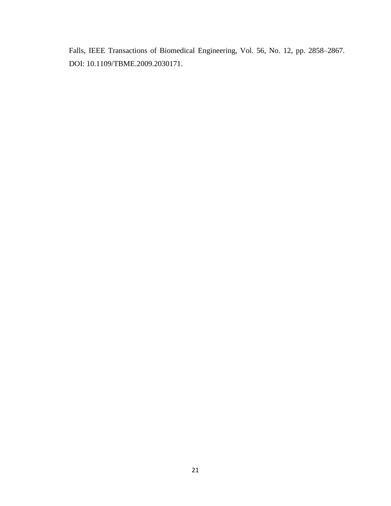Falls, IEEE Transactions of Biomedical Engineering, Vol. 56, No. 12, pp. 2858–2867. DOI: [10.1109/TBME.2009.2030171.](https://doi.org/10.1109/TBME.2009.2030171)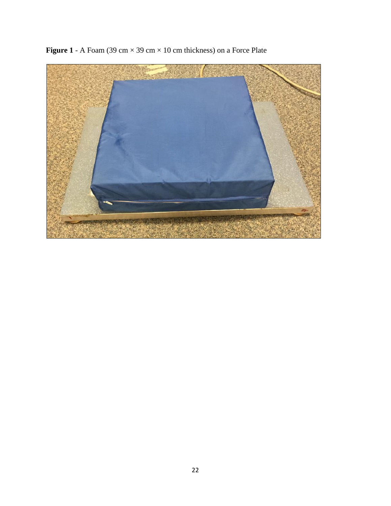

**Figure 1** - A Foam (39 cm  $\times$  39 cm  $\times$  10 cm thickness) on a Force Plate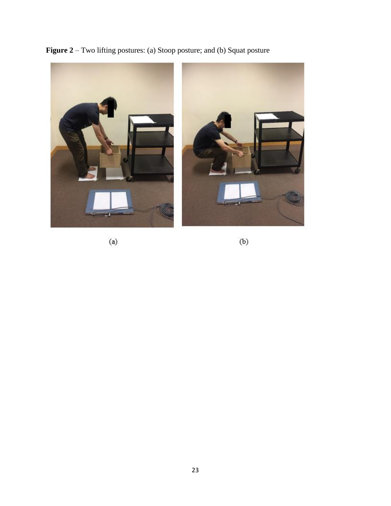**Figure 2** – Two lifting postures: (a) Stoop posture; and (b) Squat posture



 $\left( \mathrm{a}\right)$ 

 $(b)$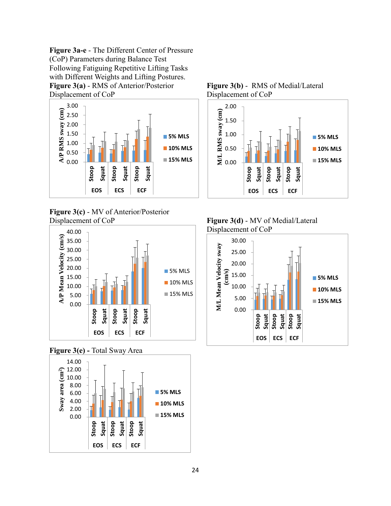**Figure 3a-e** - The Different Center of Pressure (CoP) Parameters during Balance Test Following Fatiguing Repetitive Lifting Tasks with Different Weights and Lifting Postures. **Figure 3(a)** - RMS of Anterior/Posterior Displacement of CoP



**Figure 3(c)** - MV of Anterior/Posterior Displacement of CoP **Figure 3(d)** - MV of Medial/Lateral



# **Figure 3(e) -** Total Sway Area



**Figure 3(b)** - RMS of Medial/Lateral Displacement of CoP



# Displacement of CoP

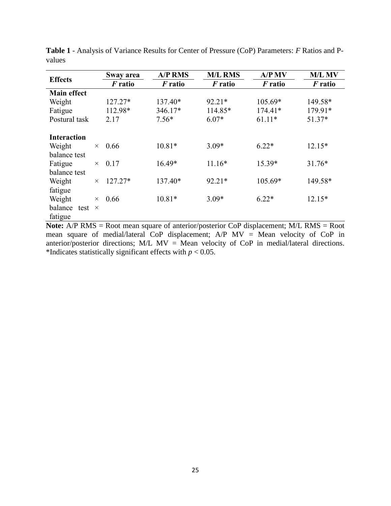| <b>Effects</b>     |          | Sway area | <b>A/P RMS</b> | <b>M/L RMS</b> | $A/P$ MV       | <b>M/L MV</b> |
|--------------------|----------|-----------|----------------|----------------|----------------|---------------|
|                    |          | F ratio   | F ratio        | F ratio        | <i>F</i> ratio | F ratio       |
| <b>Main effect</b> |          |           |                |                |                |               |
| Weight             |          | $127.27*$ | 137.40*        | $92.21*$       | 105.69*        | 149.58*       |
| Fatigue            |          | 112.98*   | 346.17*        | 114.85*        | $174.41*$      | 179.91*       |
| Postural task      |          | 2.17      | $7.56*$        | $6.07*$        | $61.11*$       | 51.37*        |
|                    |          |           |                |                |                |               |
| <b>Interaction</b> |          |           |                |                |                |               |
| Weight             | $\times$ | 0.66      | $10.81*$       | $3.09*$        | $6.22*$        | $12.15*$      |
| balance test       |          |           |                |                |                |               |
| Fatigue            | $\times$ | 0.17      | 16.49*         | $11.16*$       | 15.39*         | $31.76*$      |
| balance test       |          |           |                |                |                |               |
| Weight             | $\times$ | $127.27*$ | 137.40*        | 92.21*         | 105.69*        | 149.58*       |
| fatigue            |          |           |                |                |                |               |
| Weight             | $\times$ | 0.66      | $10.81*$       | $3.09*$        | $6.22*$        | 12.15*        |
| balance<br>test    | $\times$ |           |                |                |                |               |
| fatigue            |          |           |                |                |                |               |

**Table 1** - Analysis of Variance Results for Center of Pressure (CoP) Parameters: *F* Ratios and Pvalues

**Note:** A/P RMS = Root mean square of anterior/posterior CoP displacement; M/L RMS = Root mean square of medial/lateral CoP displacement; A/P MV = Mean velocity of CoP in anterior/posterior directions;  $M/L$  MV = Mean velocity of CoP in medial/lateral directions. \*Indicates statistically significant effects with  $p < 0.05$ .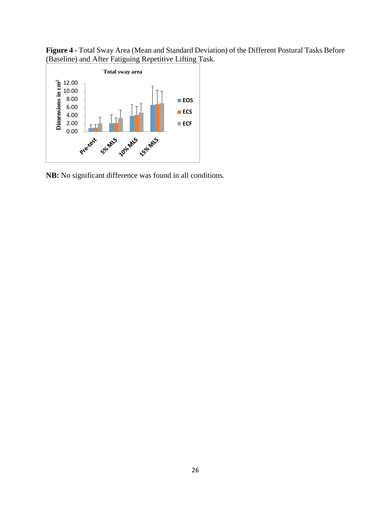**Figure 4 -** Total Sway Area (Mean and Standard Deviation) of the Different Postural Tasks Before (Baseline) and After Fatiguing Repetitive Lifting Task.



**NB:** No significant difference was found in all conditions.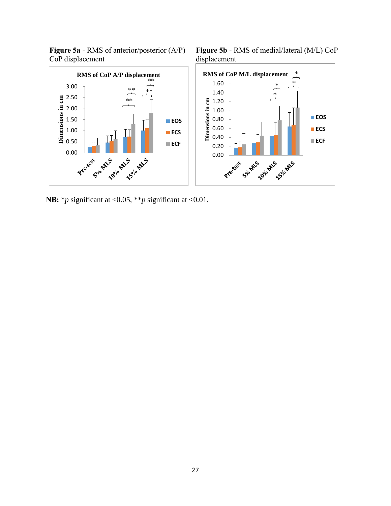

**Figure 5a** - RMS of anterior/posterior (A/P) CoP displacement

**NB:** \**p* significant at <0.05, \*\**p* significant at <0.01.

**Figure 5b** - RMS of medial/lateral (M/L) CoP displacement

\* \* \* \*

> **EOS ECS ECF**